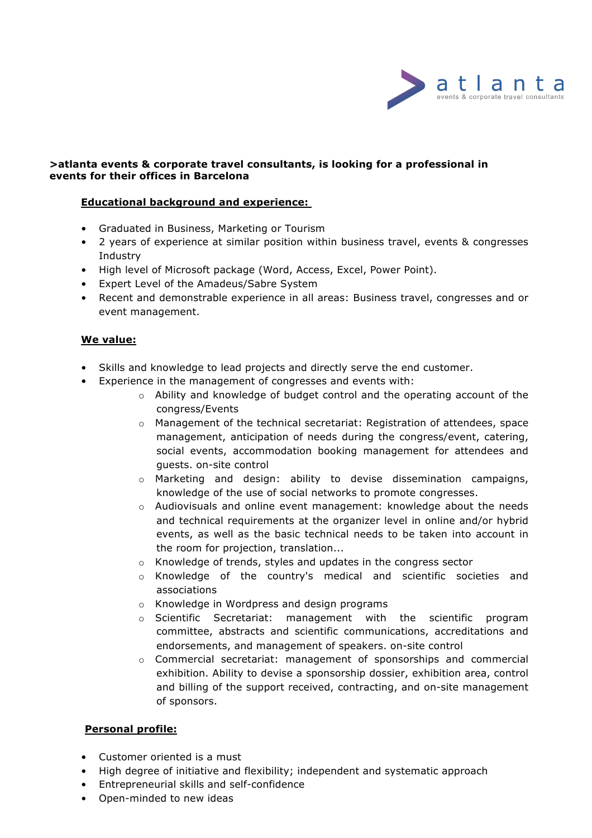

### **>atlanta events & corporate travel consultants, is looking for a professional in events for their offices in Barcelona**

# **Educational background and experience:**

- Graduated in Business, Marketing or Tourism
- 2 years of experience at similar position within business travel, events & congresses Industry
- High level of Microsoft package (Word, Access, Excel, Power Point).
- Expert Level of the Amadeus/Sabre System
- Recent and demonstrable experience in all areas: Business travel, congresses and or event management.

# **We value:**

- Skills and knowledge to lead projects and directly serve the end customer.
- Experience in the management of congresses and events with:
	- $\circ$  Ability and knowledge of budget control and the operating account of the congress/Events
	- $\circ$  Management of the technical secretariat: Registration of attendees, space management, anticipation of needs during the congress/event, catering, social events, accommodation booking management for attendees and guests. on-site control
	- o Marketing and design: ability to devise dissemination campaigns, knowledge of the use of social networks to promote congresses.
	- $\circ$  Audiovisuals and online event management: knowledge about the needs and technical requirements at the organizer level in online and/or hybrid events, as well as the basic technical needs to be taken into account in the room for projection, translation...
	- o Knowledge of trends, styles and updates in the congress sector
	- o Knowledge of the country's medical and scientific societies and associations
	- o Knowledge in Wordpress and design programs
	- o Scientific Secretariat: management with the scientific program committee, abstracts and scientific communications, accreditations and endorsements, and management of speakers. on-site control
	- $\circ$  Commercial secretariat: management of sponsorships and commercial exhibition. Ability to devise a sponsorship dossier, exhibition area, control and billing of the support received, contracting, and on-site management of sponsors.

### **Personal profile:**

- Customer oriented is a must
- High degree of initiative and flexibility; independent and systematic approach
- Entrepreneurial skills and self-confidence
- Open-minded to new ideas